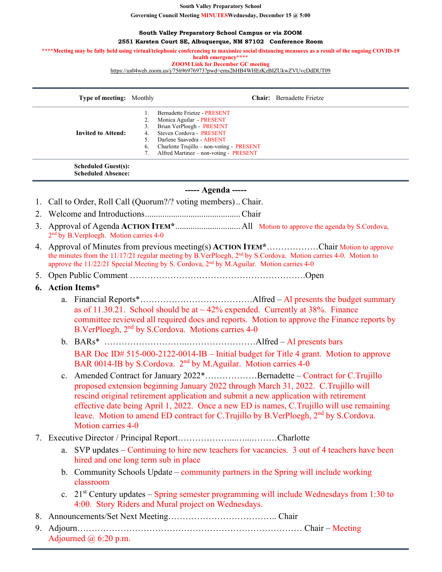**South Valley Preparatory School**

**Governing Council Meeting MINUTESWednesday, December 15 @ 5:00**

#### **South Valley Preparatory School Campus or via ZOOM**

**2551 Karsten Court SE, Albuquerque, NM 87102 Conference Room**

\*\*\*\*Meeting may be fully held using virtual/telephonic conferencing to maximize social distancing measures as a result of the ongoing COVID-19

**health emergency\*\*\*\***

**ZOOM Link for December GC meeting** [https://us04web.zoom.us/j/75696976973?pwd=ems2bHB4WHErKzBIZUkwZVUvcDdDUT09](https://www.google.com/url?q=https://us04web.zoom.us/j/75696976973?pwd%3Dems2bHB4WHErKzBIZUkwZVUvcDdDUT09&sa=D&source=calendar&ust=1639843468097979&usg=AOvVaw3p96JHHZ47oBveaAF4TJ_d)

| <b>Type of meeting:</b> Monthly |    | <b>Chair:</b> Bernadette Frietze        |
|---------------------------------|----|-----------------------------------------|
|                                 |    | Bernadette Frietze - PRESENT            |
|                                 | z. | Monica Aguilar - PRESENT                |
|                                 | 3. | Brian VerPloegh - PRESENT               |
| <b>Invited to Attend:</b>       | 4. | Steven Cordova - PRESENT                |
|                                 | 5. | Darlene Saavedra - ABSENT               |
|                                 | 6. | Charlotte Trujillo – non-voting PRESENT |
|                                 |    | Alfred Martinez - non-voting - PRESENT  |
| <b>Scheduled Guest(s):</b>      |    |                                         |

**Scheduled Absence:**

# **----- Agenda -----**

- 1. Call to Order, Roll Call (Quorum?/? voting members).. Chair.
- 2. Welcome and Introductions............................................Chair
- 3. Approval of Agenda **ACTION ITEM\***.............................. All Motion to approve the agenda by S.Cordova, 2<sup>nd</sup> by B.Verploegh. Motion carries 4-0
- 4. Approval of Minutes from previous meeting(s) **ACTION ITEM\***………………Chair Motion to approve the minutes from the 11/17/21 regular meeting by B.VerPloegh,  $2<sup>nd</sup>$  by S.Cordova. Motion carries 4-0. Motion to approve the  $11/22/21$  Special Meeting by S. Cordova,  $2<sup>nd</sup>$  by M.Aguilar. Motion carries 4-0
- 5. Open Public Comment …………………………………………………….Open

## **6. Action Items\***

- a. Financial Reports\*…………………………………Alfred Al presents the budget summary as of 11.30.21. School should be at  $\sim$  42% expended. Currently at 38%. Finance committee reviewed all required docs and reports. Motion to approve the Finance reports by B.VerPloegh, 2nd by S.Cordova. Motions carries 4-0
- b. BARs\* ………………………..……………………Alfred Al presents bars BAR Doc ID# 515-000-2122-0014-IB – Initial budget for Title 4 grant. Motion to approve BAR 0014-IB by S.Cordova. 2<sup>nd</sup> by M.Aguilar. Motion carries 4-0
- c. Amended Contract for January 2022\*………………Bernadette Contract for C.Trujillo proposed extension beginning January 2022 through March 31, 2022. C.Trujillo will rescind original retirement application and submit a new application with retirement effective date being April 1, 2022. Once a new ED is names, C.Trujillo will use remaining leave. Motion to amend ED contract for C.Trujillo by B.VerPloegh, 2<sup>nd</sup> by S.Cordova. Motion carries 4-0

# 7. Executive Director / Principal Report………………...…...………Charlotte

- a. SVP updates Continuing to hire new teachers for vacancies. 3 out of 4 teachers have been hired and one long term sub in place
- b. Community Schools Update community partners in the Spring will include working classroom
- c.  $21<sup>st</sup>$  Century updates Spring semester programming will include Wednesdays from 1:30 to 4:00. Story Riders and Mural project on Wednesdays.
- 8. Announcements/Set Next Meeting……………………………….. Chair
- 9. Adjourn…………………………………………………………………… Chair Meeting Adjourned  $\omega$  6:20 p.m.